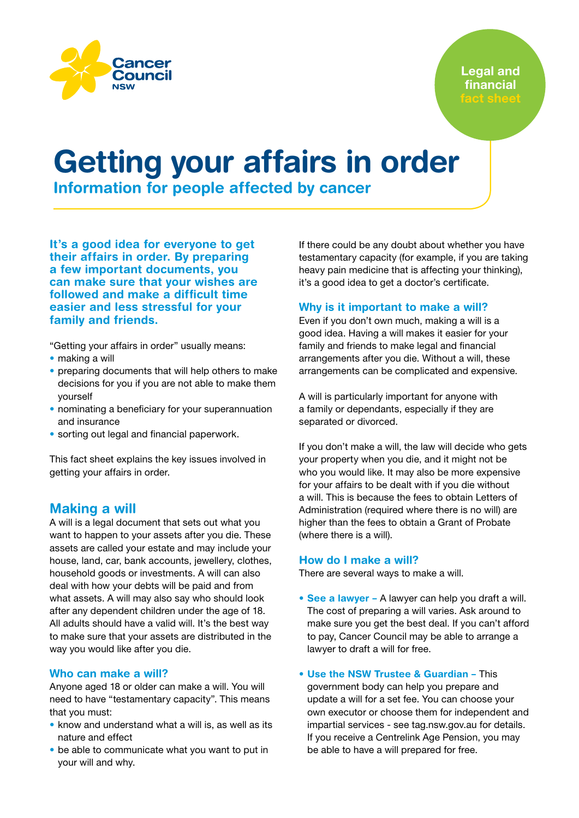

Legal and financial

# Getting your affairs in order

Information for people affected by cancer

It's a good idea for everyone to get their affairs in order. By preparing a few important documents, you can make sure that your wishes are followed and make a difficult time easier and less stressful for your family and friends.

"Getting your affairs in order" usually means:

- making a will
- preparing documents that will help others to make decisions for you if you are not able to make them yourself
- nominating a beneficiary for your superannuation and insurance
- sorting out legal and financial paperwork.

This fact sheet explains the key issues involved in getting your affairs in order.

## Making a will

A will is a legal document that sets out what you want to happen to your assets after you die. These assets are called your estate and may include your house, land, car, bank accounts, jewellery, clothes, household goods or investments. A will can also deal with how your debts will be paid and from what assets. A will may also say who should look after any dependent children under the age of 18. All adults should have a valid will. It's the best way to make sure that your assets are distributed in the way you would like after you die.

## Who can make a will?

Anyone aged 18 or older can make a will. You will need to have "testamentary capacity". This means that you must:

- know and understand what a will is, as well as its nature and effect
- be able to communicate what you want to put in your will and why.

If there could be any doubt about whether you have testamentary capacity (for example, if you are taking heavy pain medicine that is affecting your thinking), it's a good idea to get a doctor's certificate.

## Why is it important to make a will?

Even if you don't own much, making a will is a good idea. Having a will makes it easier for your family and friends to make legal and financial arrangements after you die. Without a will, these arrangements can be complicated and expensive.

A will is particularly important for anyone with a family or dependants, especially if they are separated or divorced.

If you don't make a will, the law will decide who gets your property when you die, and it might not be who you would like. It may also be more expensive for your affairs to be dealt with if you die without a will. This is because the fees to obtain Letters of Administration (required where there is no will) are higher than the fees to obtain a Grant of Probate (where there is a will).

## How do I make a will?

There are several ways to make a will.

- See a lawyer A lawyer can help you draft a will. The cost of preparing a will varies. Ask around to make sure you get the best deal. If you can't afford to pay, Cancer Council may be able to arrange a lawyer to draft a will for free.
- Use the NSW Trustee & Guardian This government body can help you prepare and update a will for a set fee. You can choose your own executor or choose them for independent and impartial services - see [tag.nsw.gov.au](http://tag.nsw.gov.au) for details. If you receive a Centrelink Age Pension, you may be able to have a will prepared for free.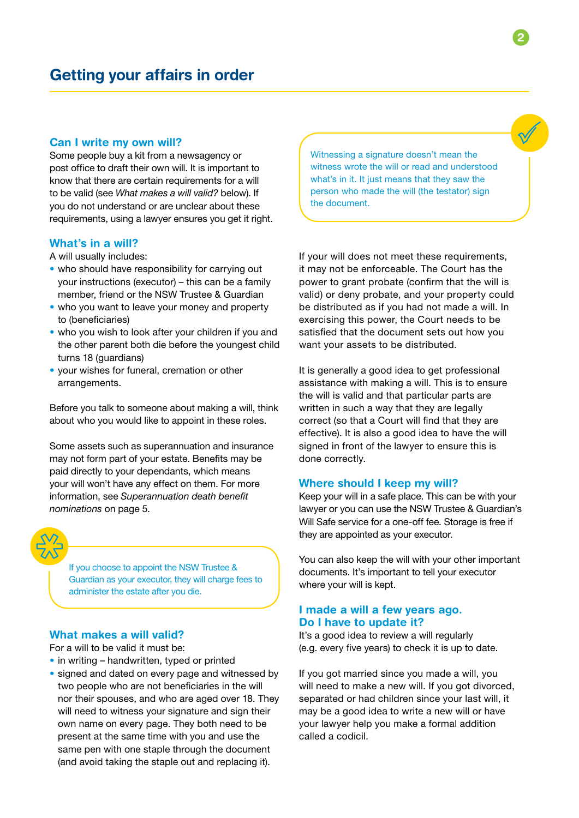## Can I write my own will?

Some people buy a kit from a newsagency or post office to draft their own will. It is important to know that there are certain requirements for a will to be valid (see *What makes a will valid?* below). If you do not understand or are unclear about these requirements, using a lawyer ensures you get it right.

### What's in a will?

A will usually includes:

- who should have responsibility for carrying out your instructions (executor) – this can be a family member, friend or the NSW Trustee & Guardian
- who you want to leave your money and property to (beneficiaries)
- who you wish to look after your children if you and the other parent both die before the youngest child turns 18 (guardians)
- your wishes for funeral, cremation or other arrangements.

Before you talk to someone about making a will, think about who you would like to appoint in these roles.

Some assets such as superannuation and insurance may not form part of your estate. Benefits may be paid directly to your dependants, which means your will won't have any effect on them. For more information, see *Superannuation death benefit nominations* on page 5.

If you choose to appoint the NSW Trustee & Guardian as your executor, they will charge fees to administer the estate after you die.

## What makes a will valid?

For a will to be valid it must be:

- in writing handwritten, typed or printed
- signed and dated on every page and witnessed by two people who are not beneficiaries in the will nor their spouses, and who are aged over 18. They will need to witness your signature and sign their own name on every page. They both need to be present at the same time with you and use the same pen with one staple through the document (and avoid taking the staple out and replacing it).

Witnessing a signature doesn't mean the witness wrote the will or read and understood what's in it. It just means that they saw the person who made the will (the testator) sign the document.

If your will does not meet these requirements, it may not be enforceable. The Court has the power to grant probate (confirm that the will is valid) or deny probate, and your property could be distributed as if you had not made a will. In exercising this power, the Court needs to be satisfied that the document sets out how you want your assets to be distributed.

It is generally a good idea to get professional assistance with making a will. This is to ensure the will is valid and that particular parts are written in such a way that they are legally correct (so that a Court will find that they are effective). It is also a good idea to have the will signed in front of the lawyer to ensure this is done correctly.

## Where should I keep my will?

Keep your will in a safe place. This can be with your lawyer or you can use the NSW Trustee & Guardian's Will Safe service for a one-off fee. Storage is free if they are appointed as your executor.

You can also keep the will with your other important documents. It's important to tell your executor where your will is kept.

## I made a will a few years ago. Do I have to update it?

It's a good idea to review a will regularly (e.g. every five years) to check it is up to date.

If you got married since you made a will, you will need to make a new will. If you got divorced, separated or had children since your last will, it may be a good idea to write a new will or have your lawyer help you make a formal addition called a codicil.

2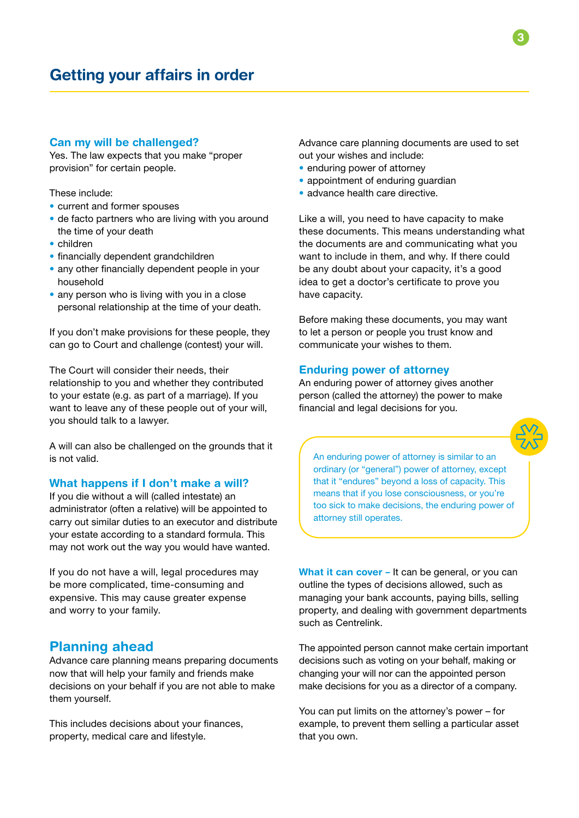## Can my will be challenged?

Yes. The law expects that you make "proper provision" for certain people.

These include:

- current and former spouses
- de facto partners who are living with you around the time of your death
- children
- financially dependent grandchildren
- any other financially dependent people in your household
- any person who is living with you in a close personal relationship at the time of your death.

If you don't make provisions for these people, they can go to Court and challenge (contest) your will.

The Court will consider their needs, their relationship to you and whether they contributed to your estate (e.g. as part of a marriage). If you want to leave any of these people out of your will, you should talk to a lawyer.

A will can also be challenged on the grounds that it is not valid.

## What happens if I don't make a will?

If you die without a will (called intestate) an administrator (often a relative) will be appointed to carry out similar duties to an executor and distribute your estate according to a standard formula. This may not work out the way you would have wanted.

If you do not have a will, legal procedures may be more complicated, time-consuming and expensive. This may cause greater expense and worry to your family.

## Planning ahead

Advance care planning means preparing documents now that will help your family and friends make decisions on your behalf if you are not able to make them yourself.

This includes decisions about your finances, property, medical care and lifestyle.

Advance care planning documents are used to set out your wishes and include:

- enduring power of attorney
- appointment of enduring guardian
- advance health care directive.

Like a will, you need to have capacity to make these documents. This means understanding what the documents are and communicating what you want to include in them, and why. If there could be any doubt about your capacity, it's a good idea to get a doctor's certificate to prove you have capacity.

Before making these documents, you may want to let a person or people you trust know and communicate your wishes to them.

## Enduring power of attorney

An enduring power of attorney gives another person (called the attorney) the power to make financial and legal decisions for you.



An enduring power of attorney is similar to an ordinary (or "general") power of attorney, except that it "endures" beyond a loss of capacity. This means that if you lose consciousness, or you're too sick to make decisions, the enduring power of attorney still operates.

What it can cover – It can be general, or you can outline the types of decisions allowed, such as managing your bank accounts, paying bills, selling property, and dealing with government departments such as Centrelink.

The appointed person cannot make certain important decisions such as voting on your behalf, making or changing your will nor can the appointed person make decisions for you as a director of a company.

You can put limits on the attorney's power – for example, to prevent them selling a particular asset that you own.

3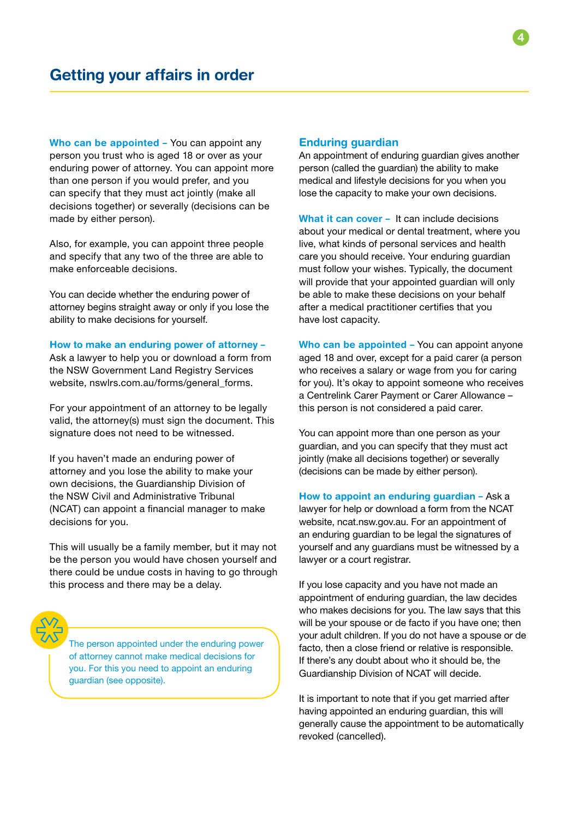Who can be appointed - You can appoint any person you trust who is aged 18 or over as your enduring power of attorney. You can appoint more than one person if you would prefer, and you can specify that they must act jointly (make all decisions together) or severally (decisions can be made by either person).

Also, for example, you can appoint three people and specify that any two of the three are able to make enforceable decisions.

You can decide whether the enduring power of attorney begins straight away or only if you lose the ability to make decisions for yourself.

How to make an enduring power of attorney –

Ask a lawyer to help you or download a form from the NSW Government Land Registry Services website[, nswlrs.com.au/forms/general\\_forms](http:// nswlrs.com.au/forms/general_forms).

For your appointment of an attorney to be legally valid, the attorney(s) must sign the document. This signature does not need to be witnessed.

If you haven't made an enduring power of attorney and you lose the ability to make your own decisions, the Guardianship Division of the NSW Civil and Administrative Tribunal (NCAT) can appoint a financial manager to make decisions for you.

This will usually be a family member, but it may not be the person you would have chosen yourself and there could be undue costs in having to go through this process and there may be a delay.



The person appointed under the enduring power of attorney cannot make medical decisions for you. For this you need to appoint an enduring guardian (see opposite).

## Enduring guardian

An appointment of enduring guardian gives another person (called the guardian) the ability to make medical and lifestyle decisions for you when you lose the capacity to make your own decisions.

What it can cover - It can include decisions about your medical or dental treatment, where you live, what kinds of personal services and health care you should receive. Your enduring guardian must follow your wishes. Typically, the document will provide that your appointed guardian will only be able to make these decisions on your behalf after a medical practitioner certifies that you have lost capacity.

Who can be appointed - You can appoint anyone aged 18 and over, except for a paid carer (a person who receives a salary or wage from you for caring for you). It's okay to appoint someone who receives a Centrelink Carer Payment or Carer Allowance – this person is not considered a paid carer.

You can appoint more than one person as your guardian, and you can specify that they must act jointly (make all decisions together) or severally (decisions can be made by either person).

How to appoint an enduring quardian - Ask a lawyer for help or download a form from the NCAT website, nca[t.nsw.gov.au. F](http://ncat.nsw.gov.au)or an appointment of an enduring guardian to be legal the signatures of yourself and any guardians must be witnessed by a lawyer or a court registrar.

If you lose capacity and you have not made an appointment of enduring guardian, the law decides who makes decisions for you. The law says that this will be your spouse or de facto if you have one; then your adult children. If you do not have a spouse or de facto, then a close friend or relative is responsible. If there's any doubt about who it should be, the Guardianship Division of NCAT will decide.

It is important to note that if you get married after having appointed an enduring guardian, this will generally cause the appointment to be automatically revoked (cancelled).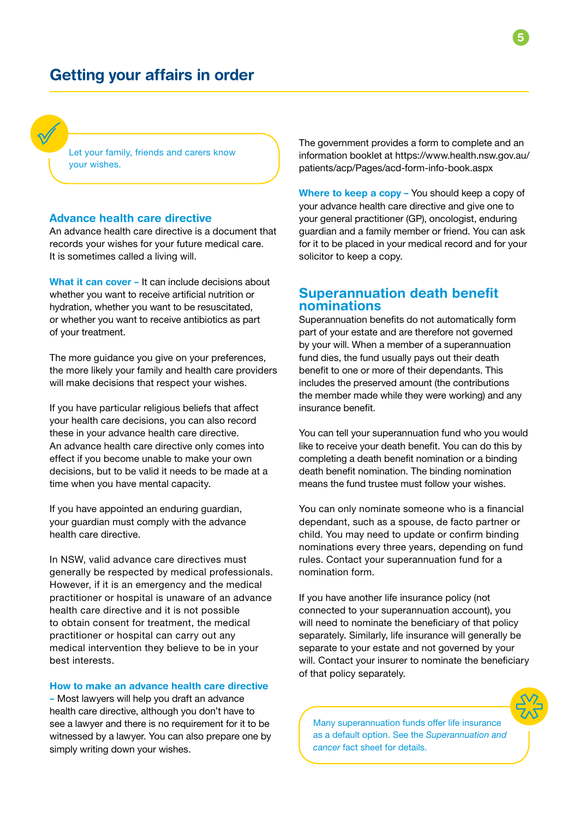# Getting your affairs in order

Let your family, friends and carers know your wishes.

## Advance health care directive

An advance health care directive is a document that records your wishes for your future medical care. It is sometimes called a living will.

What it can cover - It can include decisions about whether you want to receive artificial nutrition or hydration, whether you want to be resuscitated, or whether you want to receive antibiotics as part of your treatment.

The more guidance you give on your preferences, the more likely your family and health care providers will make decisions that respect your wishes.

If you have particular religious beliefs that affect your health care decisions, you can also record these in your advance health care directive. An advance health care directive only comes into effect if you become unable to make your own decisions, but to be valid it needs to be made at a time when you have mental capacity.

If you have appointed an enduring guardian, your guardian must comply with the advance health care directive.

In NSW, valid advance care directives must generally be respected by medical professionals. However, if it is an emergency and the medical practitioner or hospital is unaware of an advance health care directive and it is not possible to obtain consent for treatment, the medical practitioner or hospital can carry out any medical intervention they believe to be in your best interests.

## How to make an advance health care directive

– Most lawyers will help you draft an advance health care directive, although you don't have to see a lawyer and there is no requirement for it to be witnessed by a lawyer. You can also prepare one by simply writing down your wishes.

The government provides a form to complete and an information booklet at [https://www.health.nsw.gov.au/](https://www.health.nsw.gov.au/patients/acp/Pages/acd-form-info-book.aspx) [patients/acp/Pages/acd-form-info-book.aspx](https://www.health.nsw.gov.au/patients/acp/Pages/acd-form-info-book.aspx)

Where to keep a copy – You should keep a copy of your advance health care directive and give one to your general practitioner (GP), oncologist, enduring guardian and a family member or friend. You can ask for it to be placed in your medical record and for your solicitor to keep a copy.

## Superannuation death benefit nominations

Superannuation benefits do not automatically form part of your estate and are therefore not governed by your will. When a member of a superannuation fund dies, the fund usually pays out their death benefit to one or more of their dependants. This includes the preserved amount (the contributions the member made while they were working) and any insurance benefit.

You can tell your superannuation fund who you would like to receive your death benefit. You can do this by completing a death benefit nomination or a binding death benefit nomination. The binding nomination means the fund trustee must follow your wishes.

You can only nominate someone who is a financial dependant, such as a spouse, de facto partner or child. You may need to update or confirm binding nominations every three years, depending on fund rules. Contact your superannuation fund for a nomination form.

If you have another life insurance policy (not connected to your superannuation account), you will need to nominate the beneficiary of that policy separately. Similarly, life insurance will generally be separate to your estate and not governed by your will. Contact your insurer to nominate the beneficiary of that policy separately.



Many superannuation funds offer life insurance as a default option. See the *Superannuation and cancer* fact sheet for details.

5